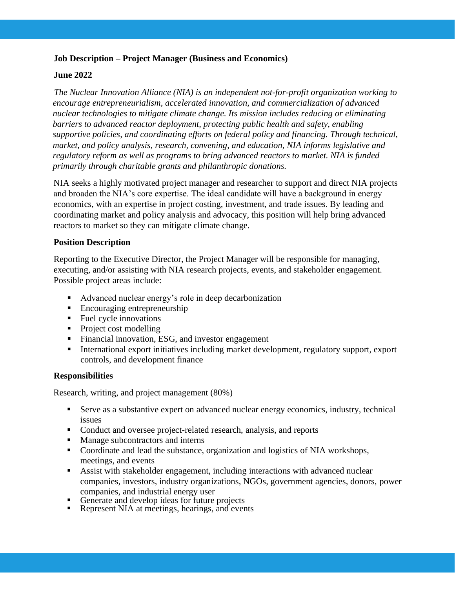# **Job Description – Project Manager (Business and Economics)**

# **June 2022**

*The Nuclear Innovation Alliance (NIA) is an independent not-for-profit organization working to encourage entrepreneurialism, accelerated innovation, and commercialization of advanced nuclear technologies to mitigate climate change. Its mission includes reducing or eliminating barriers to advanced reactor deployment, protecting public health and safety, enabling supportive policies, and coordinating efforts on federal policy and financing. Through technical, market, and policy analysis, research, convening, and education, NIA informs legislative and regulatory reform as well as programs to bring advanced reactors to market. NIA is funded primarily through charitable grants and philanthropic donations.* 

NIA seeks a highly motivated project manager and researcher to support and direct NIA projects and broaden the NIA's core expertise. The ideal candidate will have a background in energy economics, with an expertise in project costing, investment, and trade issues. By leading and coordinating market and policy analysis and advocacy, this position will help bring advanced reactors to market so they can mitigate climate change.

## **Position Description**

Reporting to the Executive Director, the Project Manager will be responsible for managing, executing, and/or assisting with NIA research projects, events, and stakeholder engagement. Possible project areas include:

- Advanced nuclear energy's role in deep decarbonization
- Encouraging entrepreneurship
- Fuel cycle innovations
- Project cost modelling
- Financial innovation, ESG, and investor engagement
- International export initiatives including market development, regulatory support, export controls, and development finance

## **Responsibilities**

Research, writing, and project management (80%)

- Serve as a substantive expert on advanced nuclear energy economics, industry, technical issues
- Conduct and oversee project-related research, analysis, and reports
- Manage subcontractors and interns
- Coordinate and lead the substance, organization and logistics of NIA workshops, meetings, and events
- **EXECUTE:** Assist with stakeholder engagement, including interactions with advanced nuclear companies, investors, industry organizations, NGOs, government agencies, donors, power companies, and industrial energy user
- Generate and develop ideas for future projects
- **•** Represent NIA at meetings, hearings, and events